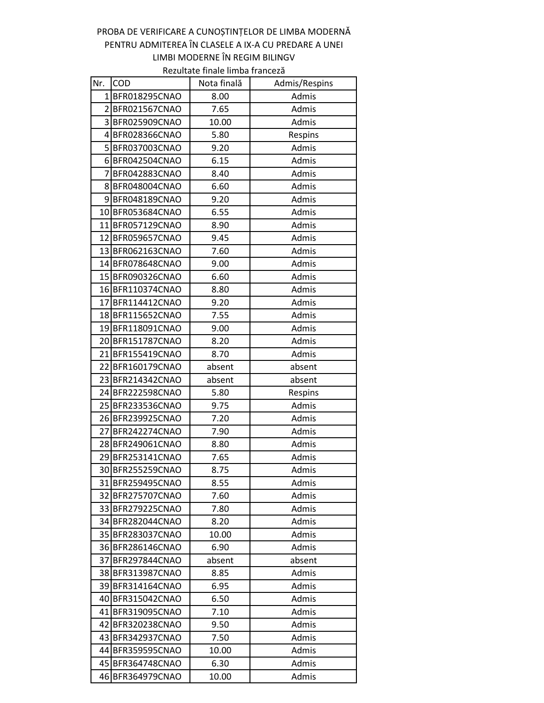## PROBA DE VERIFICARE A CUNOȘTINȚELOR DE LIMBA MODERNĂ PENTRU ADMITEREA ÎN CLASELE A IX-A CU PREDARE A UNEI LIMBI MODERNE ÎN REGIM BILINGV

Rezultate finale limba franceză

| Nr. | <b>COD</b>       | Nota finală | Admis/Respins |
|-----|------------------|-------------|---------------|
|     | 1BFR018295CNAO   | 8.00        | Admis         |
|     | 2BFR021567CNAO   | 7.65        | Admis         |
|     | 3 BFR025909CNAO  | 10.00       | Admis         |
|     | 4 BFR028366CNAO  | 5.80        | Respins       |
|     | 5 BFR037003CNAO  | 9.20        | Admis         |
|     | 6 BFR042504CNAO  | 6.15        | Admis         |
|     | 7 BFR042883CNAO  | 8.40        | Admis         |
|     | 8 BFR048004CNAO  | 6.60        | Admis         |
|     | 9BFR048189CNAO   | 9.20        | Admis         |
|     | 10 BFR053684CNAO | 6.55        | Admis         |
|     | 11 BFR057129CNAO | 8.90        | Admis         |
|     | 12 BFR059657CNAO | 9.45        | Admis         |
|     | 13 BFR062163CNAO | 7.60        | Admis         |
|     | 14 BFR078648CNAO | 9.00        | Admis         |
|     | 15 BFR090326CNAO | 6.60        | Admis         |
|     | 16 BFR110374CNAO | 8.80        | Admis         |
|     | 17 BFR114412CNAO | 9.20        | Admis         |
|     | 18 BFR115652CNAO | 7.55        | Admis         |
|     | 19 BFR118091CNAO | 9.00        | Admis         |
|     | 20 BFR151787CNAO | 8.20        | Admis         |
|     | 21 BFR155419CNAO | 8.70        | Admis         |
|     | 22 BFR160179CNAO | absent      | absent        |
|     | 23 BFR214342CNAO | absent      | absent        |
|     | 24 BFR222598CNAO | 5.80        | Respins       |
|     | 25 BFR233536CNAO | 9.75        | Admis         |
|     | 26 BFR239925CNAO | 7.20        | Admis         |
|     | 27 BFR242274CNAO | 7.90        | Admis         |
|     | 28 BFR249061CNAO | 8.80        | Admis         |
|     | 29 BFR253141CNAO | 7.65        | Admis         |
|     | 30 BFR255259CNAO | 8.75        | Admis         |
|     | 31 BFR259495CNAO | 8.55        | Admis         |
|     | 32 BFR275707CNAO | 7.60        | Admis         |
|     | 33 BFR279225CNAO | 7.80        | Admis         |
|     | 34 BFR282044CNAO | 8.20        | Admis         |
|     | 35 BFR283037CNAO | 10.00       | Admis         |
|     | 36 BFR286146CNAO | 6.90        | Admis         |
|     | 37 BFR297844CNAO | absent      | absent        |
|     | 38 BFR313987CNAO | 8.85        | Admis         |
|     | 39 BFR314164CNAO | 6.95        | Admis         |
|     | 40 BFR315042CNAO | 6.50        | Admis         |
|     | 41 BFR319095CNAO | 7.10        | Admis         |
|     | 42 BFR320238CNAO | 9.50        | Admis         |
|     | 43 BFR342937CNAO | 7.50        | Admis         |
|     | 44 BFR359595CNAO | 10.00       | Admis         |
|     | 45 BFR364748CNAO | 6.30        | Admis         |
|     | 46 BFR364979CNAO | 10.00       | Admis         |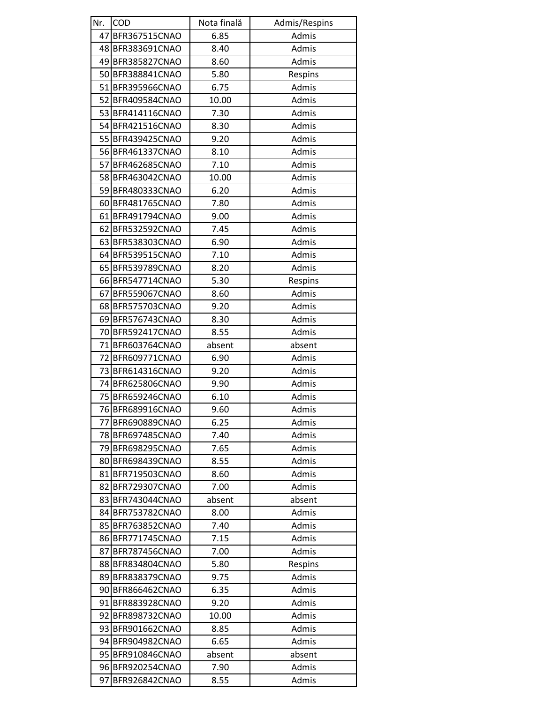| Nr. | <b>COD</b>       | Nota finală | Admis/Respins |
|-----|------------------|-------------|---------------|
| 47  | BFR367515CNAO    | 6.85        | Admis         |
|     | 48 BFR383691CNAO | 8.40        | Admis         |
|     | 49 BFR385827CNAO | 8.60        | Admis         |
|     | 50 BFR388841CNAO | 5.80        | Respins       |
|     | 51 BFR395966CNAO | 6.75        | Admis         |
|     | 52 BFR409584CNAO | 10.00       | Admis         |
|     | 53 BFR414116CNAO | 7.30        | Admis         |
|     | 54 BFR421516CNAO | 8.30        | Admis         |
|     | 55 BFR439425CNAO | 9.20        | Admis         |
|     | 56 BFR461337CNAO | 8.10        | Admis         |
|     | 57 BFR462685CNAO | 7.10        | Admis         |
|     | 58 BFR463042CNAO | 10.00       | Admis         |
|     | 59 BFR480333CNAO | 6.20        | Admis         |
|     | 60 BFR481765CNAO | 7.80        | Admis         |
|     | 61 BFR491794CNAO | 9.00        | Admis         |
|     | 62 BFR532592CNAO | 7.45        | Admis         |
|     | 63 BFR538303CNAO | 6.90        | Admis         |
|     | 64 BFR539515CNAO | 7.10        | Admis         |
|     | 65 BFR539789CNAO | 8.20        | Admis         |
|     | 66 BFR547714CNAO | 5.30        | Respins       |
|     | 67 BFR559067CNAO | 8.60        | Admis         |
|     | 68 BFR575703CNAO | 9.20        | Admis         |
|     | 69 BFR576743CNAO | 8.30        | Admis         |
|     | 70 BFR592417CNAO | 8.55        | Admis         |
|     | 71 BFR603764CNAO | absent      | absent        |
|     | 72 BFR609771CNAO | 6.90        | Admis         |
|     | 73 BFR614316CNAO | 9.20        | Admis         |
|     | 74 BFR625806CNAO | 9.90        | Admis         |
|     | 75 BFR659246CNAO | 6.10        | Admis         |
|     | 76 BFR689916CNAO | 9.60        | Admis         |
|     | 77 BFR690889CNAO | 6.25        | Admis         |
|     | 78 BFR697485CNAO | 7.40        | Admis         |
|     | 79 BFR698295CNAO | 7.65        | Admis         |
|     | 80 BFR698439CNAO | 8.55        | Admis         |
|     | 81 BFR719503CNAO | 8.60        | Admis         |
|     | 82 BFR729307CNAO | 7.00        | Admis         |
|     | 83 BFR743044CNAO | absent      | absent        |
|     | 84 BFR753782CNAO | 8.00        | Admis         |
|     | 85 BFR763852CNAO | 7.40        | Admis         |
|     | 86 BFR771745CNAO | 7.15        | Admis         |
|     | 87 BFR787456CNAO | 7.00        | Admis         |
|     | 88 BFR834804CNAO | 5.80        | Respins       |
|     | 89 BFR838379CNAO | 9.75        | Admis         |
|     | 90 BFR866462CNAO | 6.35        | Admis         |
|     | 91 BFR883928CNAO | 9.20        | Admis         |
|     | 92 BFR898732CNAO | 10.00       | Admis         |
|     | 93 BFR901662CNAO | 8.85        | Admis         |
|     | 94 BFR904982CNAO | 6.65        | Admis         |
|     | 95 BFR910846CNAO | absent      | absent        |
|     | 96 BFR920254CNAO | 7.90        | Admis         |
| 97  | BFR926842CNAO    | 8.55        | Admis         |
|     |                  |             |               |